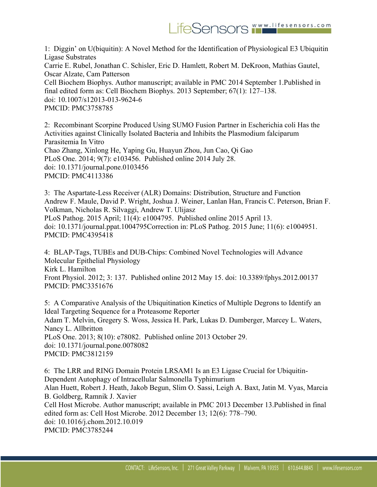

1: Diggin' on U(biquitin): A Novel Method for the Identification of Physiological E3 Ubiquitin Ligase Substrates Carrie E. Rubel, Jonathan C. Schisler, Eric D. Hamlett, Robert M. DeKroon, Mathias Gautel, Oscar Alzate, Cam Patterson Cell Biochem Biophys. Author manuscript; available in PMC 2014 September 1.Published in final edited form as: Cell Biochem Biophys. 2013 September; 67(1): 127–138. doi: 10.1007/s12013-013-9624-6 PMCID: PMC3758785

2: Recombinant Scorpine Produced Using SUMO Fusion Partner in Escherichia coli Has the Activities against Clinically Isolated Bacteria and Inhibits the Plasmodium falciparum Parasitemia In Vitro Chao Zhang, Xinlong He, Yaping Gu, Huayun Zhou, Jun Cao, Qi Gao PLoS One. 2014; 9(7): e103456. Published online 2014 July 28. doi: 10.1371/journal.pone.0103456 PMCID: PMC4113386

3: The Aspartate-Less Receiver (ALR) Domains: Distribution, Structure and Function Andrew F. Maule, David P. Wright, Joshua J. Weiner, Lanlan Han, Francis C. Peterson, Brian F. Volkman, Nicholas R. Silvaggi, Andrew T. Ulijasz PLoS Pathog. 2015 April; 11(4): e1004795. Published online 2015 April 13. doi: 10.1371/journal.ppat.1004795Correction in: PLoS Pathog. 2015 June; 11(6): e1004951. PMCID: PMC4395418

4: BLAP-Tags, TUBEs and DUB-Chips: Combined Novel Technologies will Advance Molecular Epithelial Physiology Kirk L. Hamilton Front Physiol. 2012; 3: 137. Published online 2012 May 15. doi: 10.3389/fphys.2012.00137 PMCID: PMC3351676

5: A Comparative Analysis of the Ubiquitination Kinetics of Multiple Degrons to Identify an Ideal Targeting Sequence for a Proteasome Reporter Adam T. Melvin, Gregery S. Woss, Jessica H. Park, Lukas D. Dumberger, Marcey L. Waters, Nancy L. Allbritton PLoS One. 2013; 8(10): e78082. Published online 2013 October 29. doi: 10.1371/journal.pone.0078082 PMCID: PMC3812159

6: The LRR and RING Domain Protein LRSAM1 Is an E3 Ligase Crucial for Ubiquitin-Dependent Autophagy of Intracellular Salmonella Typhimurium Alan Huett, Robert J. Heath, Jakob Begun, Slim O. Sassi, Leigh A. Baxt, Jatin M. Vyas, Marcia B. Goldberg, Ramnik J. Xavier Cell Host Microbe. Author manuscript; available in PMC 2013 December 13.Published in final edited form as: Cell Host Microbe. 2012 December 13; 12(6): 778–790. doi: 10.1016/j.chom.2012.10.019 PMCID: PMC3785244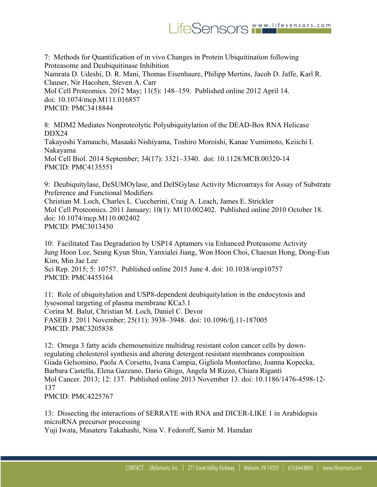7: Methods for Quantification of in vivo Changes in Protein Ubiquitination following Proteasome and Deubiquitinase Inhibition Namrata D. Udeshi, D. R. Mani, Thomas Eisenhaure, Philipp Mertins, Jacob D. Jaffe, Karl R. Clauser, Nir Hacohen, Steven A. Carr Mol Cell Proteomics. 2012 May; 11(5): 148–159. Published online 2012 April 14. doi: 10.1074/mcp.M111.016857 PMCID: PMC3418844

8: MDM2 Mediates Nonproteolytic Polyubiquitylation of the DEAD-Box RNA Helicase DDX24 Takayoshi Yamauchi, Masaaki Nishiyama, Toshiro Moroishi, Kanae Yumimoto, Keiichi I. Nakayama Mol Cell Biol. 2014 September; 34(17): 3321–3340. doi: 10.1128/MCB.00320-14 PMCID: PMC4135551

9: Deubiquitylase, DeSUMOylase, and DeISGylase Activity Microarrays for Assay of Substrate Preference and Functional Modifiers

Christian M. Loch, Charles L. Cuccherini, Craig A. Leach, James E. Strickler Mol Cell Proteomics. 2011 January; 10(1): M110.002402. Published online 2010 October 18. doi: 10.1074/mcp.M110.002402 PMCID: PMC3013450

10: Facilitated Tau Degradation by USP14 Aptamers via Enhanced Proteasome Activity Jung Hoon Lee, Seung Kyun Shin, Yanxialei Jiang, Won Hoon Choi, Chaesun Hong, Dong-Eun Kim, Min Jae Lee Sci Rep. 2015; 5: 10757. Published online 2015 June 4. doi: 10.1038/srep10757 PMCID: PMC4455164

11: Role of ubiquitylation and USP8-dependent deubiquitylation in the endocytosis and lysosomal targeting of plasma membrane KCa3.1 Corina M. Balut, Christian M. Loch, Daniel C. Devor FASEB J. 2011 November; 25(11): 3938–3948. doi: 10.1096/fj.11-187005 PMCID: PMC3205838

12: Omega 3 fatty acids chemosensitize multidrug resistant colon cancer cells by downregulating cholesterol synthesis and altering detergent resistant membranes composition Giada Gelsomino, Paola A Corsetto, Ivana Campia, Gigliola Montorfano, Joanna Kopecka, Barbara Castella, Elena Gazzano, Dario Ghigo, Angela M Rizzo, Chiara Riganti Mol Cancer. 2013; 12: 137. Published online 2013 November 13. doi: 10.1186/1476-4598-12- 137

PMCID: PMC4225767

13: Dissecting the interactions of SERRATE with RNA and DICER-LIKE 1 in Arabidopsis microRNA precursor processing

Yuji Iwata, Masateru Takahashi, Nina V. Fedoroff, Samir M. Hamdan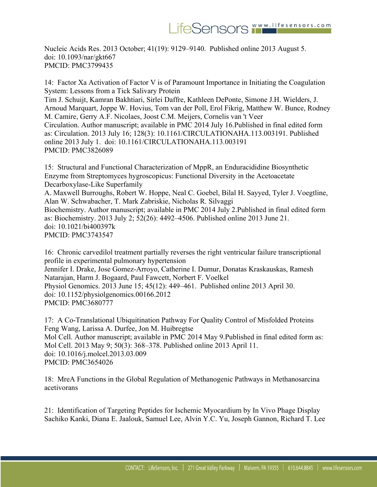Nucleic Acids Res. 2013 October; 41(19): 9129–9140. Published online 2013 August 5. doi: 10.1093/nar/gkt667 PMCID: PMC3799435

14: Factor Xa Activation of Factor V is of Paramount Importance in Initiating the Coagulation System: Lessons from a Tick Salivary Protein Tim J. Schuijt, Kamran Bakhtiari, Sirlei Daffre, Kathleen DePonte, Simone J.H. Wielders, J. Arnoud Marquart, Joppe W. Hovius, Tom van der Poll, Erol Fikrig, Matthew W. Bunce, Rodney M. Camire, Gerry A.F. Nicolaes, Joost C.M. Meijers, Cornelis van 't Veer Circulation. Author manuscript; available in PMC 2014 July 16.Published in final edited form as: Circulation. 2013 July 16; 128(3): 10.1161/CIRCULATIONAHA.113.003191. Published online 2013 July 1. doi: 10.1161/CIRCULATIONAHA.113.003191 PMCID: PMC3826089

15: Structural and Functional Characterization of MppR, an Enduracididine Biosynthetic Enzyme from Streptomyces hygroscopicus: Functional Diversity in the Acetoacetate Decarboxylase-Like Superfamily A. Maxwell Burroughs, Robert W. Hoppe, Neal C. Goebel, Bilal H. Sayyed, Tyler J. Voegtline, Alan W. Schwabacher, T. Mark Zabriskie, Nicholas R. Silvaggi Biochemistry. Author manuscript; available in PMC 2014 July 2.Published in final edited form as: Biochemistry. 2013 July 2; 52(26): 4492–4506. Published online 2013 June 21. doi: 10.1021/bi400397k PMCID: PMC3743547

16: Chronic carvedilol treatment partially reverses the right ventricular failure transcriptional profile in experimental pulmonary hypertension Jennifer I. Drake, Jose Gomez-Arroyo, Catherine I. Dumur, Donatas Kraskauskas, Ramesh Natarajan, Harm J. Bogaard, Paul Fawcett, Norbert F. Voelkel Physiol Genomics. 2013 June 15; 45(12): 449–461. Published online 2013 April 30. doi: 10.1152/physiolgenomics.00166.2012 PMCID: PMC3680777

17: A Co-Translational Ubiquitination Pathway For Quality Control of Misfolded Proteins Feng Wang, Larissa A. Durfee, Jon M. Huibregtse Mol Cell. Author manuscript; available in PMC 2014 May 9.Published in final edited form as: Mol Cell. 2013 May 9; 50(3): 368–378. Published online 2013 April 11. doi: 10.1016/j.molcel.2013.03.009 PMCID: PMC3654026

18: MreA Functions in the Global Regulation of Methanogenic Pathways in Methanosarcina acetivorans

21: Identification of Targeting Peptides for Ischemic Myocardium by In Vivo Phage Display Sachiko Kanki, Diana E. Jaalouk, Samuel Lee, Alvin Y.C. Yu, Joseph Gannon, Richard T. Lee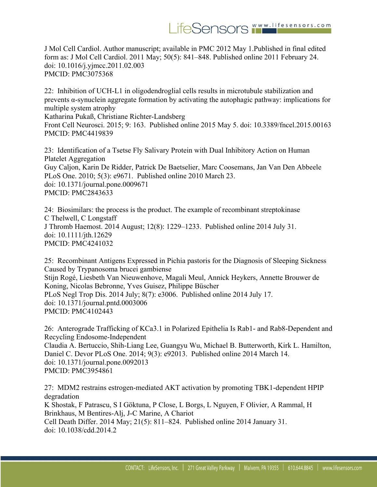J Mol Cell Cardiol. Author manuscript; available in PMC 2012 May 1.Published in final edited form as: J Mol Cell Cardiol. 2011 May; 50(5): 841–848. Published online 2011 February 24. doi: 10.1016/j.yjmcc.2011.02.003 PMCID: PMC3075368

22: Inhibition of UCH-L1 in oligodendroglial cells results in microtubule stabilization and prevents α-synuclein aggregate formation by activating the autophagic pathway: implications for multiple system atrophy Katharina Pukaß, Christiane Richter-Landsberg

Front Cell Neurosci. 2015; 9: 163. Published online 2015 May 5. doi: 10.3389/fncel.2015.00163 PMCID: PMC4419839

23: Identification of a Tsetse Fly Salivary Protein with Dual Inhibitory Action on Human Platelet Aggregation Guy Caljon, Karin De Ridder, Patrick De Baetselier, Marc Coosemans, Jan Van Den Abbeele PLoS One. 2010; 5(3): e9671. Published online 2010 March 23. doi: 10.1371/journal.pone.0009671 PMCID: PMC2843633

24: Biosimilars: the process is the product. The example of recombinant streptokinase C Thelwell, C Longstaff J Thromb Haemost. 2014 August; 12(8): 1229–1233. Published online 2014 July 31. doi: 10.1111/jth.12629 PMCID: PMC4241032

25: Recombinant Antigens Expressed in Pichia pastoris for the Diagnosis of Sleeping Sickness Caused by Trypanosoma brucei gambiense Stijn Rogé, Liesbeth Van Nieuwenhove, Magali Meul, Annick Heykers, Annette Brouwer de Koning, Nicolas Bebronne, Yves Guisez, Philippe Büscher PLoS Negl Trop Dis. 2014 July; 8(7): e3006. Published online 2014 July 17. doi: 10.1371/journal.pntd.0003006 PMCID: PMC4102443

26: Anterograde Trafficking of KCa3.1 in Polarized Epithelia Is Rab1- and Rab8-Dependent and Recycling Endosome-Independent Claudia A. Bertuccio, Shih-Liang Lee, Guangyu Wu, Michael B. Butterworth, Kirk L. Hamilton, Daniel C. Devor PLoS One. 2014; 9(3): e92013. Published online 2014 March 14. doi: 10.1371/journal.pone.0092013 PMCID: PMC3954861

27: MDM2 restrains estrogen-mediated AKT activation by promoting TBK1-dependent HPIP degradation K Shostak, F Patrascu, S I Göktuna, P Close, L Borgs, L Nguyen, F Olivier, A Rammal, H Brinkhaus, M Bentires-Alj, J-C Marine, A Chariot Cell Death Differ. 2014 May; 21(5): 811–824. Published online 2014 January 31. doi: 10.1038/cdd.2014.2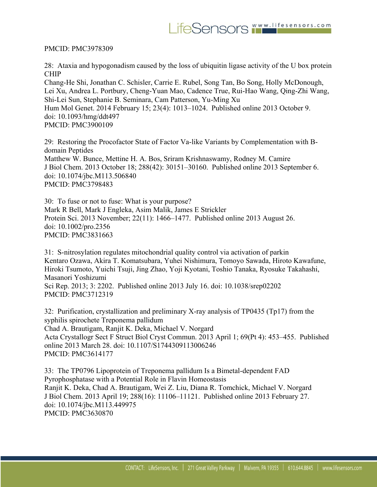PMCID: PMC3978309

28: Ataxia and hypogonadism caused by the loss of ubiquitin ligase activity of the U box protein CHIP

Chang-He Shi, Jonathan C. Schisler, Carrie E. Rubel, Song Tan, Bo Song, Holly McDonough, Lei Xu, Andrea L. Portbury, Cheng-Yuan Mao, Cadence True, Rui-Hao Wang, Qing-Zhi Wang, Shi-Lei Sun, Stephanie B. Seminara, Cam Patterson, Yu-Ming Xu Hum Mol Genet. 2014 February 15; 23(4): 1013–1024. Published online 2013 October 9. doi: 10.1093/hmg/ddt497 PMCID: PMC3900109

29: Restoring the Procofactor State of Factor Va-like Variants by Complementation with Bdomain Peptides Matthew W. Bunce, Mettine H. A. Bos, Sriram Krishnaswamy, Rodney M. Camire J Biol Chem. 2013 October 18; 288(42): 30151–30160. Published online 2013 September 6. doi: 10.1074/jbc.M113.506840 PMCID: PMC3798483

30: To fuse or not to fuse: What is your purpose? Mark R Bell, Mark J Engleka, Asim Malik, James E Strickler Protein Sci. 2013 November; 22(11): 1466–1477. Published online 2013 August 26. doi: 10.1002/pro.2356 PMCID: PMC3831663

31: S-nitrosylation regulates mitochondrial quality control via activation of parkin Kentaro Ozawa, Akira T. Komatsubara, Yuhei Nishimura, Tomoyo Sawada, Hiroto Kawafune, Hiroki Tsumoto, Yuichi Tsuji, Jing Zhao, Yoji Kyotani, Toshio Tanaka, Ryosuke Takahashi, Masanori Yoshizumi Sci Rep. 2013; 3: 2202. Published online 2013 July 16. doi: 10.1038/srep02202 PMCID: PMC3712319

32: Purification, crystallization and preliminary X-ray analysis of TP0435 (Tp17) from the syphilis spirochete Treponema pallidum Chad A. Brautigam, Ranjit K. Deka, Michael V. Norgard Acta Crystallogr Sect F Struct Biol Cryst Commun. 2013 April 1; 69(Pt 4): 453–455. Published online 2013 March 28. doi: 10.1107/S1744309113006246 PMCID: PMC3614177

33: The TP0796 Lipoprotein of Treponema pallidum Is a Bimetal-dependent FAD Pyrophosphatase with a Potential Role in Flavin Homeostasis Ranjit K. Deka, Chad A. Brautigam, Wei Z. Liu, Diana R. Tomchick, Michael V. Norgard J Biol Chem. 2013 April 19; 288(16): 11106–11121. Published online 2013 February 27. doi: 10.1074/jbc.M113.449975 PMCID: PMC3630870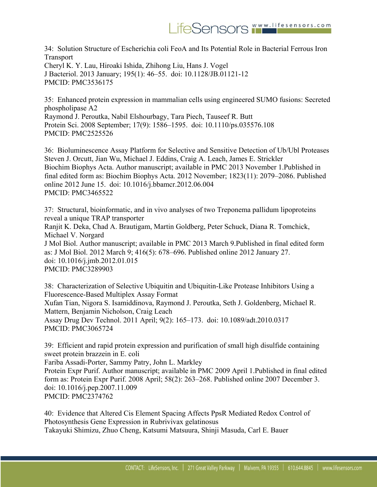34: Solution Structure of Escherichia coli FeoA and Its Potential Role in Bacterial Ferrous Iron **Transport** Cheryl K. Y. Lau, Hiroaki Ishida, Zhihong Liu, Hans J. Vogel J Bacteriol. 2013 January; 195(1): 46–55. doi: 10.1128/JB.01121-12 PMCID: PMC3536175

35: Enhanced protein expression in mammalian cells using engineered SUMO fusions: Secreted phospholipase A2 Raymond J. Peroutka, Nabil Elshourbagy, Tara Piech, Tauseef R. Butt Protein Sci. 2008 September; 17(9): 1586–1595. doi: 10.1110/ps.035576.108 PMCID: PMC2525526

36: Bioluminescence Assay Platform for Selective and Sensitive Detection of Ub/Ubl Proteases Steven J. Orcutt, Jian Wu, Michael J. Eddins, Craig A. Leach, James E. Strickler Biochim Biophys Acta. Author manuscript; available in PMC 2013 November 1.Published in final edited form as: Biochim Biophys Acta. 2012 November; 1823(11): 2079–2086. Published online 2012 June 15. doi: 10.1016/j.bbamcr.2012.06.004 PMCID: PMC3465522

37: Structural, bioinformatic, and in vivo analyses of two Treponema pallidum lipoproteins reveal a unique TRAP transporter Ranjit K. Deka, Chad A. Brautigam, Martin Goldberg, Peter Schuck, Diana R. Tomchick, Michael V. Norgard J Mol Biol. Author manuscript; available in PMC 2013 March 9.Published in final edited form as: J Mol Biol. 2012 March 9; 416(5): 678–696. Published online 2012 January 27. doi: 10.1016/j.jmb.2012.01.015 PMCID: PMC3289903

38: Characterization of Selective Ubiquitin and Ubiquitin-Like Protease Inhibitors Using a Fluorescence-Based Multiplex Assay Format Xufan Tian, Nigora S. Isamiddinova, Raymond J. Peroutka, Seth J. Goldenberg, Michael R. Mattern, Benjamin Nicholson, Craig Leach Assay Drug Dev Technol. 2011 April; 9(2): 165–173. doi: 10.1089/adt.2010.0317 PMCID: PMC3065724

39: Efficient and rapid protein expression and purification of small high disulfide containing sweet protein brazzein in E. coli Fariba Assadi-Porter, Sammy Patry, John L. Markley

Protein Expr Purif. Author manuscript; available in PMC 2009 April 1.Published in final edited form as: Protein Expr Purif. 2008 April; 58(2): 263–268. Published online 2007 December 3. doi: 10.1016/j.pep.2007.11.009 PMCID: PMC2374762

40: Evidence that Altered Cis Element Spacing Affects PpsR Mediated Redox Control of Photosynthesis Gene Expression in Rubrivivax gelatinosus Takayuki Shimizu, Zhuo Cheng, Katsumi Matsuura, Shinji Masuda, Carl E. Bauer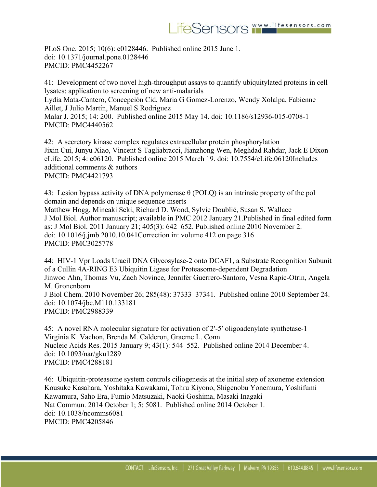PLoS One. 2015; 10(6): e0128446. Published online 2015 June 1. doi: 10.1371/journal.pone.0128446 PMCID: PMC4452267

41: Development of two novel high-throughput assays to quantify ubiquitylated proteins in cell lysates: application to screening of new anti-malarials Lydia Mata-Cantero, Concepción Cid, Maria G Gomez-Lorenzo, Wendy Xolalpa, Fabienne Aillet, J Julio Martín, Manuel S Rodriguez Malar J. 2015; 14: 200. Published online 2015 May 14. doi: 10.1186/s12936-015-0708-1 PMCID: PMC4440562

42: A secretory kinase complex regulates extracellular protein phosphorylation Jixin Cui, Junyu Xiao, Vincent S Tagliabracci, Jianzhong Wen, Meghdad Rahdar, Jack E Dixon eLife. 2015; 4: e06120. Published online 2015 March 19. doi: 10.7554/eLife.06120Includes additional comments & authors PMCID: PMC4421793

43: Lesion bypass activity of DNA polymerase θ (POLQ) is an intrinsic property of the pol domain and depends on unique sequence inserts Matthew Hogg, Mineaki Seki, Richard D. Wood, Sylvie Doublié, Susan S. Wallace J Mol Biol. Author manuscript; available in PMC 2012 January 21.Published in final edited form as: J Mol Biol. 2011 January 21; 405(3): 642–652. Published online 2010 November 2. doi: 10.1016/j.jmb.2010.10.041Correction in: volume 412 on page 316 PMCID: PMC3025778

44: HIV-1 Vpr Loads Uracil DNA Glycosylase-2 onto DCAF1, a Substrate Recognition Subunit of a Cullin 4A-RING E3 Ubiquitin Ligase for Proteasome-dependent Degradation Jinwoo Ahn, Thomas Vu, Zach Novince, Jennifer Guerrero-Santoro, Vesna Rapic-Otrin, Angela M. Gronenborn J Biol Chem. 2010 November 26; 285(48): 37333–37341. Published online 2010 September 24. doi: 10.1074/jbc.M110.133181 PMCID: PMC2988339

45: A novel RNA molecular signature for activation of 2′-5′ oligoadenylate synthetase-1 Virginia K. Vachon, Brenda M. Calderon, Graeme L. Conn Nucleic Acids Res. 2015 January 9; 43(1): 544–552. Published online 2014 December 4. doi: 10.1093/nar/gku1289 PMCID: PMC4288181

46: Ubiquitin-proteasome system controls ciliogenesis at the initial step of axoneme extension Kousuke Kasahara, Yoshitaka Kawakami, Tohru Kiyono, Shigenobu Yonemura, Yoshifumi Kawamura, Saho Era, Fumio Matsuzaki, Naoki Goshima, Masaki Inagaki Nat Commun. 2014 October 1; 5: 5081. Published online 2014 October 1. doi: 10.1038/ncomms6081 PMCID: PMC4205846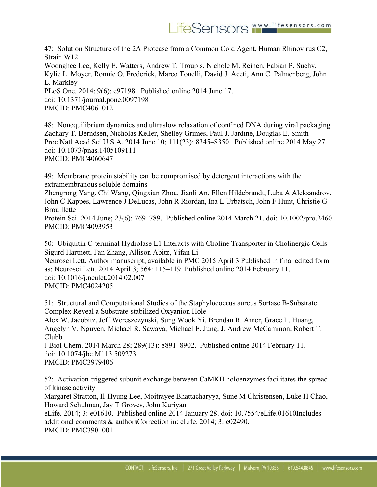47: Solution Structure of the 2A Protease from a Common Cold Agent, Human Rhinovirus C2, Strain W12 Woonghee Lee, Kelly E. Watters, Andrew T. Troupis, Nichole M. Reinen, Fabian P. Suchy, Kylie L. Moyer, Ronnie O. Frederick, Marco Tonelli, David J. Aceti, Ann C. Palmenberg, John L. Markley PLoS One. 2014; 9(6): e97198. Published online 2014 June 17. doi: 10.1371/journal.pone.0097198 PMCID: PMC4061012

48: Nonequilibrium dynamics and ultraslow relaxation of confined DNA during viral packaging Zachary T. Berndsen, Nicholas Keller, Shelley Grimes, Paul J. Jardine, Douglas E. Smith Proc Natl Acad Sci U S A. 2014 June 10; 111(23): 8345–8350. Published online 2014 May 27. doi: 10.1073/pnas.1405109111 PMCID: PMC4060647

49: Membrane protein stability can be compromised by detergent interactions with the extramembranous soluble domains

Zhengrong Yang, Chi Wang, Qingxian Zhou, Jianli An, Ellen Hildebrandt, Luba A Aleksandrov, John C Kappes, Lawrence J DeLucas, John R Riordan, Ina L Urbatsch, John F Hunt, Christie G **Brouillette** 

Protein Sci. 2014 June; 23(6): 769–789. Published online 2014 March 21. doi: 10.1002/pro.2460 PMCID: PMC4093953

50: Ubiquitin C-terminal Hydrolase L1 Interacts with Choline Transporter in Cholinergic Cells Sigurd Hartnett, Fan Zhang, Allison Abitz, Yifan Li

Neurosci Lett. Author manuscript; available in PMC 2015 April 3.Published in final edited form as: Neurosci Lett. 2014 April 3; 564: 115–119. Published online 2014 February 11. doi: 10.1016/j.neulet.2014.02.007 PMCID: PMC4024205

51: Structural and Computational Studies of the Staphylococcus aureus Sortase B-Substrate Complex Reveal a Substrate-stabilized Oxyanion Hole

Alex W. Jacobitz, Jeff Wereszczynski, Sung Wook Yi, Brendan R. Amer, Grace L. Huang, Angelyn V. Nguyen, Michael R. Sawaya, Michael E. Jung, J. Andrew McCammon, Robert T. Clubb

J Biol Chem. 2014 March 28; 289(13): 8891–8902. Published online 2014 February 11. doi: 10.1074/jbc.M113.509273 PMCID: PMC3979406

52: Activation-triggered subunit exchange between CaMKII holoenzymes facilitates the spread of kinase activity

Margaret Stratton, Il-Hyung Lee, Moitrayee Bhattacharyya, Sune M Christensen, Luke H Chao, Howard Schulman, Jay T Groves, John Kuriyan

eLife. 2014; 3: e01610. Published online 2014 January 28. doi: 10.7554/eLife.01610Includes additional comments & authorsCorrection in: eLife. 2014; 3: e02490. PMCID: PMC3901001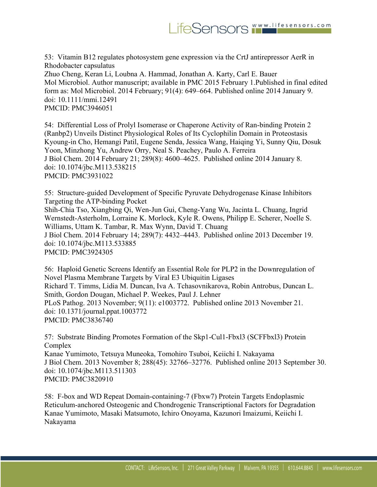53: Vitamin B12 regulates photosystem gene expression via the CrtJ antirepressor AerR in Rhodobacter capsulatus Zhuo Cheng, Keran Li, Loubna A. Hammad, Jonathan A. Karty, Carl E. Bauer Mol Microbiol. Author manuscript; available in PMC 2015 February 1.Published in final edited form as: Mol Microbiol. 2014 February; 91(4): 649–664. Published online 2014 January 9. doi: 10.1111/mmi.12491 PMCID: PMC3946051

54: Differential Loss of Prolyl Isomerase or Chaperone Activity of Ran-binding Protein 2 (Ranbp2) Unveils Distinct Physiological Roles of Its Cyclophilin Domain in Proteostasis Kyoung-in Cho, Hemangi Patil, Eugene Senda, Jessica Wang, Haiqing Yi, Sunny Qiu, Dosuk Yoon, Minzhong Yu, Andrew Orry, Neal S. Peachey, Paulo A. Ferreira J Biol Chem. 2014 February 21; 289(8): 4600–4625. Published online 2014 January 8. doi: 10.1074/jbc.M113.538215 PMCID: PMC3931022

55: Structure-guided Development of Specific Pyruvate Dehydrogenase Kinase Inhibitors Targeting the ATP-binding Pocket Shih-Chia Tso, Xiangbing Qi, Wen-Jun Gui, Cheng-Yang Wu, Jacinta L. Chuang, Ingrid Wernstedt-Asterholm, Lorraine K. Morlock, Kyle R. Owens, Philipp E. Scherer, Noelle S. Williams, Uttam K. Tambar, R. Max Wynn, David T. Chuang J Biol Chem. 2014 February 14; 289(7): 4432–4443. Published online 2013 December 19. doi: 10.1074/jbc.M113.533885 PMCID: PMC3924305

56: Haploid Genetic Screens Identify an Essential Role for PLP2 in the Downregulation of Novel Plasma Membrane Targets by Viral E3 Ubiquitin Ligases Richard T. Timms, Lidia M. Duncan, Iva A. Tchasovnikarova, Robin Antrobus, Duncan L. Smith, Gordon Dougan, Michael P. Weekes, Paul J. Lehner PLoS Pathog. 2013 November; 9(11): e1003772. Published online 2013 November 21. doi: 10.1371/journal.ppat.1003772 PMCID: PMC3836740

57: Substrate Binding Promotes Formation of the Skp1-Cul1-Fbxl3 (SCFFbxl3) Protein Complex Kanae Yumimoto, Tetsuya Muneoka, Tomohiro Tsuboi, Keiichi I. Nakayama J Biol Chem. 2013 November 8; 288(45): 32766–32776. Published online 2013 September 30. doi: 10.1074/jbc.M113.511303 PMCID: PMC3820910

58: F-box and WD Repeat Domain-containing-7 (Fbxw7) Protein Targets Endoplasmic Reticulum-anchored Osteogenic and Chondrogenic Transcriptional Factors for Degradation Kanae Yumimoto, Masaki Matsumoto, Ichiro Onoyama, Kazunori Imaizumi, Keiichi I. Nakayama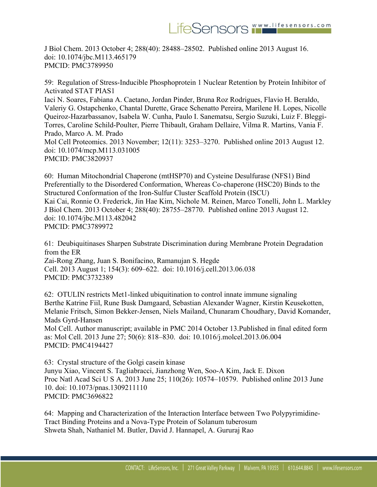J Biol Chem. 2013 October 4; 288(40): 28488–28502. Published online 2013 August 16. doi: 10.1074/jbc.M113.465179 PMCID: PMC3789950

59: Regulation of Stress-Inducible Phosphoprotein 1 Nuclear Retention by Protein Inhibitor of Activated STAT PIAS1 Iaci N. Soares, Fabiana A. Caetano, Jordan Pinder, Bruna Roz Rodrigues, Flavio H. Beraldo, Valeriy G. Ostapchenko, Chantal Durette, Grace Schenatto Pereira, Marilene H. Lopes, Nicolle Queiroz-Hazarbassanov, Isabela W. Cunha, Paulo I. Sanematsu, Sergio Suzuki, Luiz F. Bleggi-Torres, Caroline Schild-Poulter, Pierre Thibault, Graham Dellaire, Vilma R. Martins, Vania F. Prado, Marco A. M. Prado Mol Cell Proteomics. 2013 November; 12(11): 3253–3270. Published online 2013 August 12. doi: 10.1074/mcp.M113.031005 PMCID: PMC3820937

60: Human Mitochondrial Chaperone (mtHSP70) and Cysteine Desulfurase (NFS1) Bind Preferentially to the Disordered Conformation, Whereas Co-chaperone (HSC20) Binds to the Structured Conformation of the Iron-Sulfur Cluster Scaffold Protein (ISCU) Kai Cai, Ronnie O. Frederick, Jin Hae Kim, Nichole M. Reinen, Marco Tonelli, John L. Markley J Biol Chem. 2013 October 4; 288(40): 28755–28770. Published online 2013 August 12. doi: 10.1074/jbc.M113.482042 PMCID: PMC3789972

61: Deubiquitinases Sharpen Substrate Discrimination during Membrane Protein Degradation from the ER Zai-Rong Zhang, Juan S. Bonifacino, Ramanujan S. Hegde Cell. 2013 August 1; 154(3): 609–622. doi: 10.1016/j.cell.2013.06.038 PMCID: PMC3732389

62: OTULIN restricts Met1-linked ubiquitination to control innate immune signaling Berthe Katrine Fiil, Rune Busk Damgaard, Sebastian Alexander Wagner, Kirstin Keusekotten, Melanie Fritsch, Simon Bekker-Jensen, Niels Mailand, Chunaram Choudhary, David Komander, Mads Gyrd-Hansen

Mol Cell. Author manuscript; available in PMC 2014 October 13.Published in final edited form as: Mol Cell. 2013 June 27; 50(6): 818–830. doi: 10.1016/j.molcel.2013.06.004 PMCID: PMC4194427

63: Crystal structure of the Golgi casein kinase Junyu Xiao, Vincent S. Tagliabracci, Jianzhong Wen, Soo-A Kim, Jack E. Dixon Proc Natl Acad Sci U S A. 2013 June 25; 110(26): 10574–10579. Published online 2013 June 10. doi: 10.1073/pnas.1309211110 PMCID: PMC3696822

64: Mapping and Characterization of the Interaction Interface between Two Polypyrimidine-Tract Binding Proteins and a Nova-Type Protein of Solanum tuberosum Shweta Shah, Nathaniel M. Butler, David J. Hannapel, A. Gururaj Rao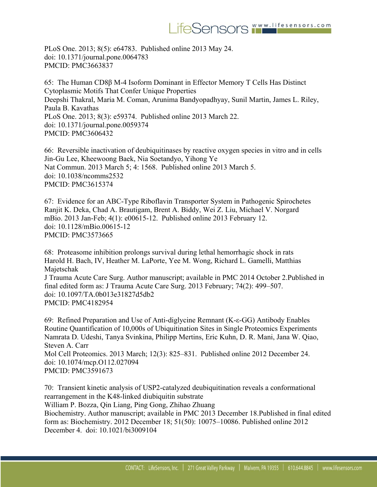PLoS One. 2013; 8(5): e64783. Published online 2013 May 24. doi: 10.1371/journal.pone.0064783 PMCID: PMC3663837

65: The Human CD8β M-4 Isoform Dominant in Effector Memory T Cells Has Distinct Cytoplasmic Motifs That Confer Unique Properties Deepshi Thakral, Maria M. Coman, Arunima Bandyopadhyay, Sunil Martin, James L. Riley, Paula B. Kavathas PLoS One. 2013; 8(3): e59374. Published online 2013 March 22. doi: 10.1371/journal.pone.0059374 PMCID: PMC3606432

66: Reversible inactivation of deubiquitinases by reactive oxygen species in vitro and in cells Jin-Gu Lee, Kheewoong Baek, Nia Soetandyo, Yihong Ye Nat Commun. 2013 March 5; 4: 1568. Published online 2013 March 5. doi: 10.1038/ncomms2532 PMCID: PMC3615374

67: Evidence for an ABC-Type Riboflavin Transporter System in Pathogenic Spirochetes Ranjit K. Deka, Chad A. Brautigam, Brent A. Biddy, Wei Z. Liu, Michael V. Norgard mBio. 2013 Jan-Feb; 4(1): e00615-12. Published online 2013 February 12. doi: 10.1128/mBio.00615-12 PMCID: PMC3573665

68: Proteasome inhibition prolongs survival during lethal hemorrhagic shock in rats Harold H. Bach, IV, Heather M. LaPorte, Yee M. Wong, Richard L. Gamelli, Matthias Majetschak J Trauma Acute Care Surg. Author manuscript; available in PMC 2014 October 2.Published in final edited form as: J Trauma Acute Care Surg. 2013 February; 74(2): 499–507. doi: 10.1097/TA.0b013e31827d5db2 PMCID: PMC4182954

69: Refined Preparation and Use of Anti-diglycine Remnant (K-ε-GG) Antibody Enables Routine Quantification of 10,000s of Ubiquitination Sites in Single Proteomics Experiments Namrata D. Udeshi, Tanya Svinkina, Philipp Mertins, Eric Kuhn, D. R. Mani, Jana W. Qiao, Steven A. Carr Mol Cell Proteomics. 2013 March; 12(3): 825–831. Published online 2012 December 24. doi: 10.1074/mcp.O112.027094 PMCID: PMC3591673

70: Transient kinetic analysis of USP2-catalyzed deubiquitination reveals a conformational rearrangement in the K48-linked diubiquitin substrate William P. Bozza, Qin Liang, Ping Gong, Zhihao Zhuang Biochemistry. Author manuscript; available in PMC 2013 December 18.Published in final edited form as: Biochemistry. 2012 December 18; 51(50): 10075–10086. Published online 2012 December 4. doi: 10.1021/bi3009104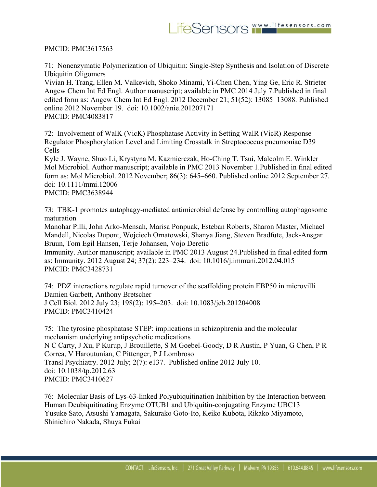PMCID: PMC3617563

71: Nonenzymatic Polymerization of Ubiquitin: Single-Step Synthesis and Isolation of Discrete Ubiquitin Oligomers

Vivian H. Trang, Ellen M. Valkevich, Shoko Minami, Yi-Chen Chen, Ying Ge, Eric R. Strieter Angew Chem Int Ed Engl. Author manuscript; available in PMC 2014 July 7.Published in final edited form as: Angew Chem Int Ed Engl. 2012 December 21; 51(52): 13085–13088. Published online 2012 November 19. doi: 10.1002/anie.201207171 PMCID: PMC4083817

72: Involvement of WalK (VicK) Phosphatase Activity in Setting WalR (VicR) Response Regulator Phosphorylation Level and Limiting Crosstalk in Streptococcus pneumoniae D39 Cells

Kyle J. Wayne, Shuo Li, Krystyna M. Kazmierczak, Ho-Ching T. Tsui, Malcolm E. Winkler Mol Microbiol. Author manuscript; available in PMC 2013 November 1.Published in final edited form as: Mol Microbiol. 2012 November; 86(3): 645–660. Published online 2012 September 27. doi: 10.1111/mmi.12006 PMCID: PMC3638944

73: TBK-1 promotes autophagy-mediated antimicrobial defense by controlling autophagosome maturation

Manohar Pilli, John Arko-Mensah, Marisa Ponpuak, Esteban Roberts, Sharon Master, Michael Mandell, Nicolas Dupont, Wojciech Ornatowski, Shanya Jiang, Steven Bradfute, Jack-Ansgar Bruun, Tom Egil Hansen, Terje Johansen, Vojo Deretic

Immunity. Author manuscript; available in PMC 2013 August 24.Published in final edited form as: Immunity. 2012 August 24; 37(2): 223–234. doi: 10.1016/j.immuni.2012.04.015 PMCID: PMC3428731

74: PDZ interactions regulate rapid turnover of the scaffolding protein EBP50 in microvilli Damien Garbett, Anthony Bretscher J Cell Biol. 2012 July 23; 198(2): 195–203. doi: 10.1083/jcb.201204008 PMCID: PMC3410424

75: The tyrosine phosphatase STEP: implications in schizophrenia and the molecular mechanism underlying antipsychotic medications N C Carty, J Xu, P Kurup, J Brouillette, S M Goebel-Goody, D R Austin, P Yuan, G Chen, P R Correa, V Haroutunian, C Pittenger, P J Lombroso Transl Psychiatry. 2012 July; 2(7): e137. Published online 2012 July 10. doi: 10.1038/tp.2012.63 PMCID: PMC3410627

76: Molecular Basis of Lys-63-linked Polyubiquitination Inhibition by the Interaction between Human Deubiquitinating Enzyme OTUB1 and Ubiquitin-conjugating Enzyme UBC13 Yusuke Sato, Atsushi Yamagata, Sakurako Goto-Ito, Keiko Kubota, Rikako Miyamoto, Shinichiro Nakada, Shuya Fukai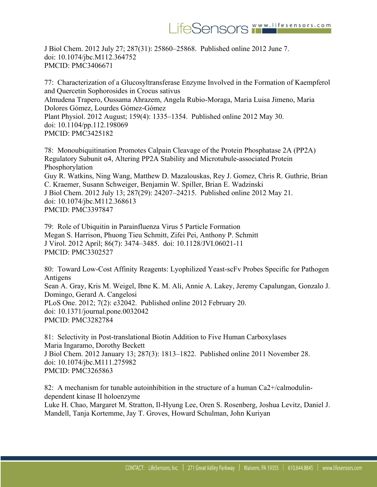J Biol Chem. 2012 July 27; 287(31): 25860–25868. Published online 2012 June 7. doi: 10.1074/jbc.M112.364752 PMCID: PMC3406671

77: Characterization of a Glucosyltransferase Enzyme Involved in the Formation of Kaempferol and Quercetin Sophorosides in Crocus sativus Almudena Trapero, Oussama Ahrazem, Angela Rubio-Moraga, Maria Luisa Jimeno, Maria Dolores Gómez, Lourdes Gómez-Gómez Plant Physiol. 2012 August; 159(4): 1335–1354. Published online 2012 May 30. doi: 10.1104/pp.112.198069 PMCID: PMC3425182

78: Monoubiquitination Promotes Calpain Cleavage of the Protein Phosphatase 2A (PP2A) Regulatory Subunit α4, Altering PP2A Stability and Microtubule-associated Protein Phosphorylation Guy R. Watkins, Ning Wang, Matthew D. Mazalouskas, Rey J. Gomez, Chris R. Guthrie, Brian C. Kraemer, Susann Schweiger, Benjamin W. Spiller, Brian E. Wadzinski J Biol Chem. 2012 July 13; 287(29): 24207–24215. Published online 2012 May 21. doi: 10.1074/jbc.M112.368613 PMCID: PMC3397847

79: Role of Ubiquitin in Parainfluenza Virus 5 Particle Formation Megan S. Harrison, Phuong Tieu Schmitt, Zifei Pei, Anthony P. Schmitt J Virol. 2012 April; 86(7): 3474–3485. doi: 10.1128/JVI.06021-11 PMCID: PMC3302527

80: Toward Low-Cost Affinity Reagents: Lyophilized Yeast-scFv Probes Specific for Pathogen Antigens Sean A. Gray, Kris M. Weigel, Ibne K. M. Ali, Annie A. Lakey, Jeremy Capalungan, Gonzalo J. Domingo, Gerard A. Cangelosi PLoS One. 2012; 7(2): e32042. Published online 2012 February 20. doi: 10.1371/journal.pone.0032042 PMCID: PMC3282784

81: Selectivity in Post-translational Biotin Addition to Five Human Carboxylases Maria Ingaramo, Dorothy Beckett J Biol Chem. 2012 January 13; 287(3): 1813–1822. Published online 2011 November 28. doi: 10.1074/jbc.M111.275982 PMCID: PMC3265863

82: A mechanism for tunable autoinhibition in the structure of a human Ca2+/calmodulindependent kinase II holoenzyme

Luke H. Chao, Margaret M. Stratton, Il-Hyung Lee, Oren S. Rosenberg, Joshua Levitz, Daniel J. Mandell, Tanja Kortemme, Jay T. Groves, Howard Schulman, John Kuriyan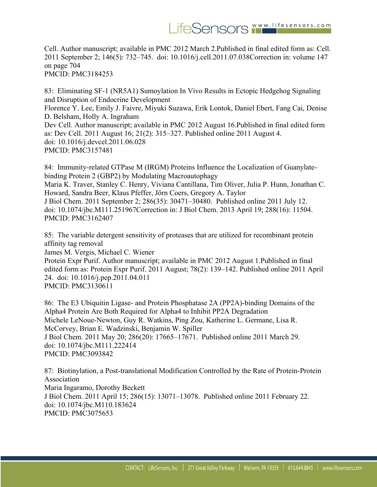Cell. Author manuscript; available in PMC 2012 March 2.Published in final edited form as: Cell. 2011 September 2; 146(5): 732–745. doi: 10.1016/j.cell.2011.07.038Correction in: volume 147 on page 704 PMCID: PMC3184253

83: Eliminating SF-1 (NR5A1) Sumoylation In Vivo Results in Ectopic Hedgehog Signaling and Disruption of Endocrine Development Florence Y. Lee, Emily J. Faivre, Miyuki Suzawa, Erik Lontok, Daniel Ebert, Fang Cai, Denise D. Belsham, Holly A. Ingraham Dev Cell. Author manuscript; available in PMC 2012 August 16.Published in final edited form as: Dev Cell. 2011 August 16; 21(2): 315–327. Published online 2011 August 4. doi: 10.1016/j.devcel.2011.06.028 PMCID: PMC3157481

84: Immunity-related GTPase M (IRGM) Proteins Influence the Localization of Guanylatebinding Protein 2 (GBP2) by Modulating Macroautophagy Maria K. Traver, Stanley C. Henry, Viviana Cantillana, Tim Oliver, Julia P. Hunn, Jonathan C. Howard, Sandra Beer, Klaus Pfeffer, Jörn Coers, Gregory A. Taylor J Biol Chem. 2011 September 2; 286(35): 30471–30480. Published online 2011 July 12. doi: 10.1074/jbc.M111.251967Correction in: J Biol Chem. 2013 April 19; 288(16): 11504. PMCID: PMC3162407

85: The variable detergent sensitivity of proteases that are utilized for recombinant protein affinity tag removal

James M. Vergis, Michael C. Wiener

Protein Expr Purif. Author manuscript; available in PMC 2012 August 1.Published in final edited form as: Protein Expr Purif. 2011 August; 78(2): 139–142. Published online 2011 April 24. doi: 10.1016/j.pep.2011.04.011 PMCID: PMC3130611

86: The E3 Ubiquitin Ligase- and Protein Phosphatase 2A (PP2A)-binding Domains of the Alpha4 Protein Are Both Required for Alpha4 to Inhibit PP2A Degradation Michele LeNoue-Newton, Guy R. Watkins, Ping Zou, Katherine L. Germane, Lisa R. McCorvey, Brian E. Wadzinski, Benjamin W. Spiller J Biol Chem. 2011 May 20; 286(20): 17665–17671. Published online 2011 March 29. doi: 10.1074/jbc.M111.222414 PMCID: PMC3093842

87: Biotinylation, a Post-translational Modification Controlled by the Rate of Protein-Protein Association Maria Ingaramo, Dorothy Beckett J Biol Chem. 2011 April 15; 286(15): 13071–13078. Published online 2011 February 22. doi: 10.1074/jbc.M110.183624 PMCID: PMC3075653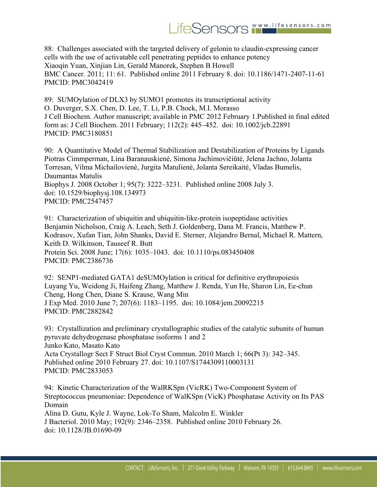## LifeSensors WWW.lifesensors.com

88: Challenges associated with the targeted delivery of gelonin to claudin-expressing cancer cells with the use of activatable cell penetrating peptides to enhance potency Xiaoqin Yuan, Xinjian Lin, Gerald Manorek, Stephen B Howell BMC Cancer. 2011; 11: 61. Published online 2011 February 8. doi: 10.1186/1471-2407-11-61 PMCID: PMC3042419

89: SUMOylation of DLX3 by SUMO1 promotes its transcriptional activity O. Duverger, S.X. Chen, D. Lee, T. Li, P.B. Chock, M.I. Morasso J Cell Biochem. Author manuscript; available in PMC 2012 February 1.Published in final edited form as: J Cell Biochem. 2011 February; 112(2): 445–452. doi: 10.1002/jcb.22891 PMCID: PMC3180851

90: A Quantitative Model of Thermal Stabilization and Destabilization of Proteins by Ligands Piotras Cimmperman, Lina Baranauskienė, Simona Jachimovičiūtė, Jelena Jachno, Jolanta Torresan, Vilma Michailovienė, Jurgita Matulienė, Jolanta Sereikaitė, Vladas Bumelis, Daumantas Matulis Biophys J. 2008 October 1; 95(7): 3222–3231. Published online 2008 July 3. doi: 10.1529/biophysj.108.134973 PMCID: PMC2547457

91: Characterization of ubiquitin and ubiquitin-like-protein isopeptidase activities Benjamin Nicholson, Craig A. Leach, Seth J. Goldenberg, Dana M. Francis, Matthew P. Kodrasov, Xufan Tian, John Shanks, David E. Sterner, Alejandro Bernal, Michael R. Mattern, Keith D. Wilkinson, Tauseef R. Butt Protein Sci. 2008 June; 17(6): 1035–1043. doi: 10.1110/ps.083450408 PMCID: PMC2386736

92: SENP1-mediated GATA1 deSUMOylation is critical for definitive erythropoiesis Luyang Yu, Weidong Ji, Haifeng Zhang, Matthew J. Renda, Yun He, Sharon Lin, Ee-chun Cheng, Hong Chen, Diane S. Krause, Wang Min J Exp Med. 2010 June 7; 207(6): 1183–1195. doi: 10.1084/jem.20092215 PMCID: PMC2882842

93: Crystallization and preliminary crystallographic studies of the catalytic subunits of human pyruvate dehydrogenase phosphatase isoforms 1 and 2 Junko Kato, Masato Kato Acta Crystallogr Sect F Struct Biol Cryst Commun. 2010 March 1; 66(Pt 3): 342–345. Published online 2010 February 27. doi: 10.1107/S1744309110003131 PMCID: PMC2833053

94: Kinetic Characterization of the WalRKSpn (VicRK) Two-Component System of Streptococcus pneumoniae: Dependence of WalKSpn (VicK) Phosphatase Activity on Its PAS Domain Alina D. Gutu, Kyle J. Wayne, Lok-To Sham, Malcolm E. Winkler J Bacteriol. 2010 May; 192(9): 2346–2358. Published online 2010 February 26. doi: 10.1128/JB.01690-09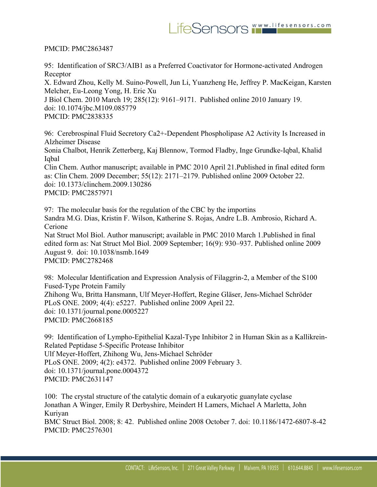PMCID: PMC2863487

95: Identification of SRC3/AIB1 as a Preferred Coactivator for Hormone-activated Androgen Receptor

X. Edward Zhou, Kelly M. Suino-Powell, Jun Li, Yuanzheng He, Jeffrey P. MacKeigan, Karsten Melcher, Eu-Leong Yong, H. Eric Xu

J Biol Chem. 2010 March 19; 285(12): 9161–9171. Published online 2010 January 19. doi: 10.1074/jbc.M109.085779 PMCID: PMC2838335

96: Cerebrospinal Fluid Secretory Ca2+-Dependent Phospholipase A2 Activity Is Increased in Alzheimer Disease

Sonia Chalbot, Henrik Zetterberg, Kaj Blennow, Tormod Fladby, Inge Grundke-Iqbal, Khalid Iqbal

Clin Chem. Author manuscript; available in PMC 2010 April 21.Published in final edited form as: Clin Chem. 2009 December; 55(12): 2171–2179. Published online 2009 October 22. doi: 10.1373/clinchem.2009.130286 PMCID: PMC2857971

97: The molecular basis for the regulation of the CBC by the importins Sandra M.G. Dias, Kristin F. Wilson, Katherine S. Rojas, Andre L.B. Ambrosio, Richard A. Cerione Nat Struct Mol Biol. Author manuscript; available in PMC 2010 March 1.Published in final edited form as: Nat Struct Mol Biol. 2009 September; 16(9): 930–937. Published online 2009 August 9. doi: 10.1038/nsmb.1649 PMCID: PMC2782468

98: Molecular Identification and Expression Analysis of Filaggrin-2, a Member of the S100 Fused-Type Protein Family Zhihong Wu, Britta Hansmann, Ulf Meyer-Hoffert, Regine Gläser, Jens-Michael Schröder PLoS ONE. 2009; 4(4): e5227. Published online 2009 April 22. doi: 10.1371/journal.pone.0005227 PMCID: PMC2668185

99: Identification of Lympho-Epithelial Kazal-Type Inhibitor 2 in Human Skin as a Kallikrein-Related Peptidase 5-Specific Protease Inhibitor Ulf Meyer-Hoffert, Zhihong Wu, Jens-Michael Schröder PLoS ONE. 2009; 4(2): e4372. Published online 2009 February 3. doi: 10.1371/journal.pone.0004372 PMCID: PMC2631147

100: The crystal structure of the catalytic domain of a eukaryotic guanylate cyclase Jonathan A Winger, Emily R Derbyshire, Meindert H Lamers, Michael A Marletta, John Kuriyan

BMC Struct Biol. 2008; 8: 42. Published online 2008 October 7. doi: 10.1186/1472-6807-8-42 PMCID: PMC2576301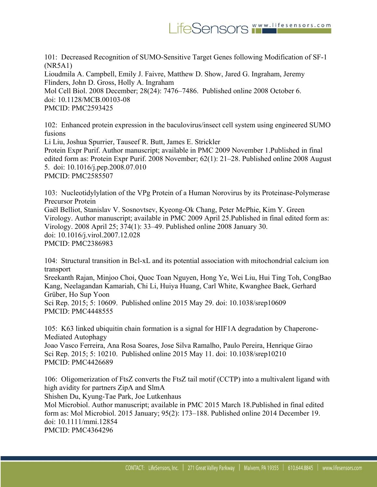101: Decreased Recognition of SUMO-Sensitive Target Genes following Modification of SF-1 (NR5A1)

Lioudmila A. Campbell, Emily J. Faivre, Matthew D. Show, Jared G. Ingraham, Jeremy Flinders, John D. Gross, Holly A. Ingraham

Mol Cell Biol. 2008 December; 28(24): 7476–7486. Published online 2008 October 6. doi: 10.1128/MCB.00103-08 PMCID: PMC2593425

102: Enhanced protein expression in the baculovirus/insect cell system using engineered SUMO fusions

Li Liu, Joshua Spurrier, Tauseef R. Butt, James E. Strickler Protein Expr Purif. Author manuscript; available in PMC 2009 November 1.Published in final edited form as: Protein Expr Purif. 2008 November; 62(1): 21–28. Published online 2008 August 5. doi: 10.1016/j.pep.2008.07.010 PMCID: PMC2585507

103: Nucleotidylylation of the VPg Protein of a Human Norovirus by its Proteinase-Polymerase Precursor Protein Gaël Belliot, Stanislav V. Sosnovtsev, Kyeong-Ok Chang, Peter McPhie, Kim Y. Green Virology. Author manuscript; available in PMC 2009 April 25.Published in final edited form as: Virology. 2008 April 25; 374(1): 33–49. Published online 2008 January 30. doi: 10.1016/j.virol.2007.12.028 PMCID: PMC2386983

104: Structural transition in Bcl-xL and its potential association with mitochondrial calcium ion transport

Sreekanth Rajan, Minjoo Choi, Quoc Toan Nguyen, Hong Ye, Wei Liu, Hui Ting Toh, CongBao Kang, Neelagandan Kamariah, Chi Li, Huiya Huang, Carl White, Kwanghee Baek, Gerhard Grüber, Ho Sup Yoon Sci Rep. 2015; 5: 10609. Published online 2015 May 29. doi: 10.1038/srep10609

PMCID: PMC4448555

105: K63 linked ubiquitin chain formation is a signal for HIF1A degradation by Chaperone-Mediated Autophagy

Joao Vasco Ferreira, Ana Rosa Soares, Jose Silva Ramalho, Paulo Pereira, Henrique Girao Sci Rep. 2015; 5: 10210. Published online 2015 May 11. doi: 10.1038/srep10210 PMCID: PMC4426689

106: Oligomerization of FtsZ converts the FtsZ tail motif (CCTP) into a multivalent ligand with high avidity for partners ZipA and SlmA

Shishen Du, Kyung-Tae Park, Joe Lutkenhaus

Mol Microbiol. Author manuscript; available in PMC 2015 March 18.Published in final edited form as: Mol Microbiol. 2015 January; 95(2): 173–188. Published online 2014 December 19. doi: 10.1111/mmi.12854 PMCID: PMC4364296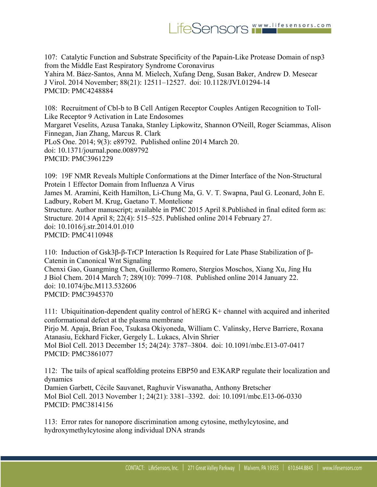107: Catalytic Function and Substrate Specificity of the Papain-Like Protease Domain of nsp3 from the Middle East Respiratory Syndrome Coronavirus Yahira M. Báez-Santos, Anna M. Mielech, Xufang Deng, Susan Baker, Andrew D. Mesecar J Virol. 2014 November; 88(21): 12511–12527. doi: 10.1128/JVI.01294-14 PMCID: PMC4248884

108: Recruitment of Cbl-b to B Cell Antigen Receptor Couples Antigen Recognition to Toll-Like Receptor 9 Activation in Late Endosomes Margaret Veselits, Azusa Tanaka, Stanley Lipkowitz, Shannon O'Neill, Roger Sciammas, Alison Finnegan, Jian Zhang, Marcus R. Clark PLoS One. 2014; 9(3): e89792. Published online 2014 March 20. doi: 10.1371/journal.pone.0089792 PMCID: PMC3961229

109: 19F NMR Reveals Multiple Conformations at the Dimer Interface of the Non-Structural Protein 1 Effector Domain from Influenza A Virus James M. Aramini, Keith Hamilton, Li-Chung Ma, G. V. T. Swapna, Paul G. Leonard, John E. Ladbury, Robert M. Krug, Gaetano T. Montelione Structure. Author manuscript; available in PMC 2015 April 8.Published in final edited form as: Structure. 2014 April 8; 22(4): 515–525. Published online 2014 February 27. doi: 10.1016/j.str.2014.01.010 PMCID: PMC4110948

110: Induction of Gsk3β-β-TrCP Interaction Is Required for Late Phase Stabilization of β-Catenin in Canonical Wnt Signaling Chenxi Gao, Guangming Chen, Guillermo Romero, Stergios Moschos, Xiang Xu, Jing Hu J Biol Chem. 2014 March 7; 289(10): 7099–7108. Published online 2014 January 22. doi: 10.1074/jbc.M113.532606 PMCID: PMC3945370

111: Ubiquitination-dependent quality control of hERG K+ channel with acquired and inherited conformational defect at the plasma membrane Pirjo M. Apaja, Brian Foo, Tsukasa Okiyoneda, William C. Valinsky, Herve Barriere, Roxana Atanasiu, Eckhard Ficker, Gergely L. Lukacs, Alvin Shrier Mol Biol Cell. 2013 December 15; 24(24): 3787–3804. doi: 10.1091/mbc.E13-07-0417 PMCID: PMC3861077

112: The tails of apical scaffolding proteins EBP50 and E3KARP regulate their localization and dynamics

Damien Garbett, Cécile Sauvanet, Raghuvir Viswanatha, Anthony Bretscher Mol Biol Cell. 2013 November 1; 24(21): 3381–3392. doi: 10.1091/mbc.E13-06-0330 PMCID: PMC3814156

113: Error rates for nanopore discrimination among cytosine, methylcytosine, and hydroxymethylcytosine along individual DNA strands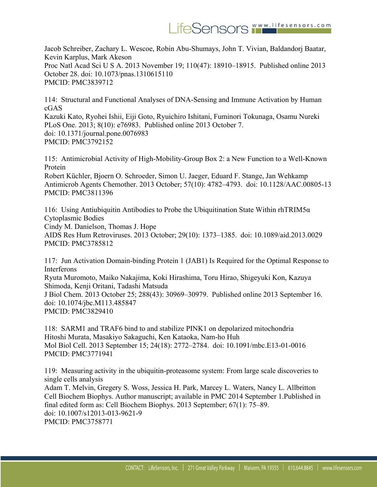Jacob Schreiber, Zachary L. Wescoe, Robin Abu-Shumays, John T. Vivian, Baldandorj Baatar, Kevin Karplus, Mark Akeson Proc Natl Acad Sci U S A. 2013 November 19; 110(47): 18910–18915. Published online 2013 October 28. doi: 10.1073/pnas.1310615110 PMCID: PMC3839712

114: Structural and Functional Analyses of DNA-Sensing and Immune Activation by Human cGAS

Kazuki Kato, Ryohei Ishii, Eiji Goto, Ryuichiro Ishitani, Fuminori Tokunaga, Osamu Nureki PLoS One. 2013; 8(10): e76983. Published online 2013 October 7. doi: 10.1371/journal.pone.0076983 PMCID: PMC3792152

115: Antimicrobial Activity of High-Mobility-Group Box 2: a New Function to a Well-Known Protein

Robert Küchler, Bjoern O. Schroeder, Simon U. Jaeger, Eduard F. Stange, Jan Wehkamp Antimicrob Agents Chemother. 2013 October; 57(10): 4782–4793. doi: 10.1128/AAC.00805-13 PMCID: PMC3811396

116: Using Antiubiquitin Antibodies to Probe the Ubiquitination State Within rhTRIM5α Cytoplasmic Bodies Cindy M. Danielson, Thomas J. Hope AIDS Res Hum Retroviruses. 2013 October; 29(10): 1373–1385. doi: 10.1089/aid.2013.0029

PMCID: PMC3785812

117: Jun Activation Domain-binding Protein 1 (JAB1) Is Required for the Optimal Response to Interferons

Ryuta Muromoto, Maiko Nakajima, Koki Hirashima, Toru Hirao, Shigeyuki Kon, Kazuya Shimoda, Kenji Oritani, Tadashi Matsuda

J Biol Chem. 2013 October 25; 288(43): 30969–30979. Published online 2013 September 16. doi: 10.1074/jbc.M113.485847 PMCID: PMC3829410

118: SARM1 and TRAF6 bind to and stabilize PINK1 on depolarized mitochondria Hitoshi Murata, Masakiyo Sakaguchi, Ken Kataoka, Nam-ho Huh Mol Biol Cell. 2013 September 15; 24(18): 2772–2784. doi: 10.1091/mbc.E13-01-0016 PMCID: PMC3771941

119: Measuring activity in the ubiquitin-proteasome system: From large scale discoveries to single cells analysis Adam T. Melvin, Gregery S. Woss, Jessica H. Park, Marcey L. Waters, Nancy L. Allbritton

Cell Biochem Biophys. Author manuscript; available in PMC 2014 September 1.Published in final edited form as: Cell Biochem Biophys. 2013 September; 67(1): 75–89. doi: 10.1007/s12013-013-9621-9 PMCID: PMC3758771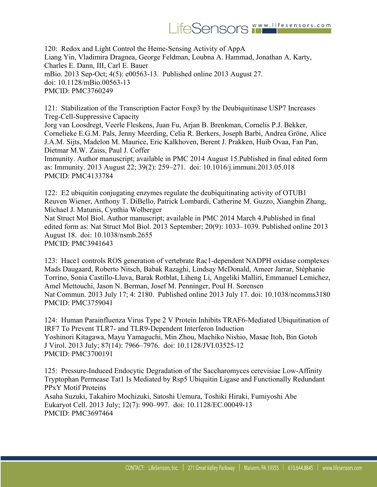

120: Redox and Light Control the Heme-Sensing Activity of AppA Liang Yin, Vladimira Dragnea, George Feldman, Loubna A. Hammad, Jonathan A. Karty, Charles E. Dann, III, Carl E. Bauer mBio. 2013 Sep-Oct; 4(5): e00563-13. Published online 2013 August 27. doi: 10.1128/mBio.00563-13 PMCID: PMC3760249

121: Stabilization of the Transcription Factor Foxp3 by the Deubiquitinase USP7 Increases Treg-Cell-Suppressive Capacity Jorg van Loosdregt, Veerle Fleskens, Juan Fu, Arjan B. Brenkman, Cornelis P.J. Bekker, Cornelieke E.G.M. Pals, Jenny Meerding, Celia R. Berkers, Joseph Barbi, Andrea Gröne, Alice J.A.M. Sijts, Madelon M. Maurice, Eric Kalkhoven, Berent J. Prakken, Huib Ovaa, Fan Pan, Dietmar M.W. Zaiss, Paul J. Coffer Immunity. Author manuscript; available in PMC 2014 August 15.Published in final edited form

as: Immunity. 2013 August 22; 39(2): 259–271. doi: 10.1016/j.immuni.2013.05.018 PMCID: PMC4133784

122: E2 ubiquitin conjugating enzymes regulate the deubiquitinating activity of OTUB1 Reuven Wiener, Anthony T. DiBello, Patrick Lombardi, Catherine M. Guzzo, Xiangbin Zhang, Michael J. Matunis, Cynthia Wolberger

Nat Struct Mol Biol. Author manuscript; available in PMC 2014 March 4.Published in final edited form as: Nat Struct Mol Biol. 2013 September; 20(9): 1033–1039. Published online 2013 August 18. doi: 10.1038/nsmb.2655 PMCID: PMC3941643

123: Hace1 controls ROS generation of vertebrate Rac1-dependent NADPH oxidase complexes Mads Daugaard, Roberto Nitsch, Babak Razaghi, Lindsay McDonald, Ameer Jarrar, Stéphanie Torrino, Sonia Castillo-Lluva, Barak Rotblat, Liheng Li, Angeliki Malliri, Emmanuel Lemichez, Amel Mettouchi, Jason N. Berman, Josef M. Penninger, Poul H. Sorensen Nat Commun. 2013 July 17; 4: 2180. Published online 2013 July 17. doi: 10.1038/ncomms3180 PMCID: PMC3759041

124: Human Parainfluenza Virus Type 2 V Protein Inhibits TRAF6-Mediated Ubiquitination of IRF7 To Prevent TLR7- and TLR9-Dependent Interferon Induction Yoshinori Kitagawa, Mayu Yamaguchi, Min Zhou, Machiko Nishio, Masae Itoh, Bin Gotoh J Virol. 2013 July; 87(14): 7966–7976. doi: 10.1128/JVI.03525-12 PMCID: PMC3700191

125: Pressure-Induced Endocytic Degradation of the Saccharomyces cerevisiae Low-Affinity Tryptophan Permease Tat1 Is Mediated by Rsp5 Ubiquitin Ligase and Functionally Redundant PPxY Motif Proteins Asaha Suzuki, Takahiro Mochizuki, Satoshi Uemura, Toshiki Hiraki, Fumiyoshi Abe Eukaryot Cell. 2013 July; 12(7): 990–997. doi: 10.1128/EC.00049-13 PMCID: PMC3697464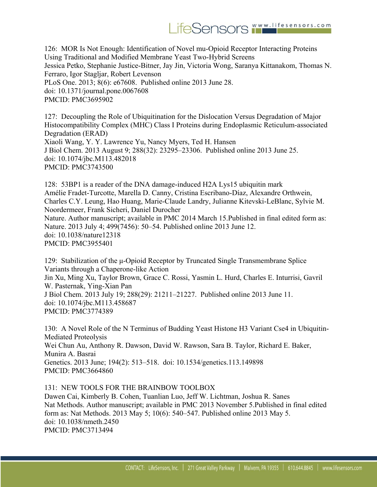126: MOR Is Not Enough: Identification of Novel mu-Opioid Receptor Interacting Proteins Using Traditional and Modified Membrane Yeast Two-Hybrid Screens Jessica Petko, Stephanie Justice-Bitner, Jay Jin, Victoria Wong, Saranya Kittanakom, Thomas N. Ferraro, Igor Stagljar, Robert Levenson PLoS One. 2013; 8(6): e67608. Published online 2013 June 28. doi: 10.1371/journal.pone.0067608 PMCID: PMC3695902

127: Decoupling the Role of Ubiquitination for the Dislocation Versus Degradation of Major Histocompatibility Complex (MHC) Class I Proteins during Endoplasmic Reticulum-associated Degradation (ERAD) Xiaoli Wang, Y. Y. Lawrence Yu, Nancy Myers, Ted H. Hansen J Biol Chem. 2013 August 9; 288(32): 23295–23306. Published online 2013 June 25. doi: 10.1074/jbc.M113.482018 PMCID: PMC3743500

128: 53BP1 is a reader of the DNA damage-induced H2A Lys15 ubiquitin mark Amélie Fradet-Turcotte, Marella D. Canny, Cristina Escribano-Díaz, Alexandre Orthwein, Charles C.Y. Leung, Hao Huang, Marie-Claude Landry, Julianne Kitevski-LeBlanc, Sylvie M. Noordermeer, Frank Sicheri, Daniel Durocher Nature. Author manuscript; available in PMC 2014 March 15.Published in final edited form as: Nature. 2013 July 4; 499(7456): 50–54. Published online 2013 June 12. doi: 10.1038/nature12318 PMCID: PMC3955401

129: Stabilization of the μ-Opioid Receptor by Truncated Single Transmembrane Splice Variants through a Chaperone-like Action Jin Xu, Ming Xu, Taylor Brown, Grace C. Rossi, Yasmin L. Hurd, Charles E. Inturrisi, Gavril W. Pasternak, Ying-Xian Pan J Biol Chem. 2013 July 19; 288(29): 21211–21227. Published online 2013 June 11. doi: 10.1074/jbc.M113.458687 PMCID: PMC3774389

130: A Novel Role of the N Terminus of Budding Yeast Histone H3 Variant Cse4 in Ubiquitin-Mediated Proteolysis Wei Chun Au, Anthony R. Dawson, David W. Rawson, Sara B. Taylor, Richard E. Baker, Munira A. Basrai Genetics. 2013 June; 194(2): 513–518. doi: 10.1534/genetics.113.149898 PMCID: PMC3664860

131: NEW TOOLS FOR THE BRAINBOW TOOLBOX

Dawen Cai, Kimberly B. Cohen, Tuanlian Luo, Jeff W. Lichtman, Joshua R. Sanes Nat Methods. Author manuscript; available in PMC 2013 November 5.Published in final edited form as: Nat Methods. 2013 May 5; 10(6): 540–547. Published online 2013 May 5. doi: 10.1038/nmeth.2450 PMCID: PMC3713494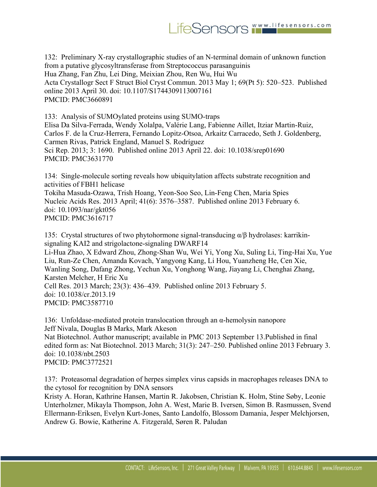132: Preliminary X-ray crystallographic studies of an N-terminal domain of unknown function from a putative glycosyltransferase from Streptococcus parasanguinis Hua Zhang, Fan Zhu, Lei Ding, Meixian Zhou, Ren Wu, Hui Wu Acta Crystallogr Sect F Struct Biol Cryst Commun. 2013 May 1; 69(Pt 5): 520–523. Published online 2013 April 30. doi: 10.1107/S1744309113007161 PMCID: PMC3660891

133: Analysis of SUMOylated proteins using SUMO-traps Elisa Da Silva-Ferrada, Wendy Xolalpa, Valérie Lang, Fabienne Aillet, Itziar Martin-Ruiz, Carlos F. de la Cruz-Herrera, Fernando Lopitz-Otsoa, Arkaitz Carracedo, Seth J. Goldenberg, Carmen Rivas, Patrick England, Manuel S. Rodríguez Sci Rep. 2013; 3: 1690. Published online 2013 April 22. doi: 10.1038/srep01690 PMCID: PMC3631770

134: Single-molecule sorting reveals how ubiquitylation affects substrate recognition and activities of FBH1 helicase Tokiha Masuda-Ozawa, Trish Hoang, Yeon-Soo Seo, Lin-Feng Chen, Maria Spies Nucleic Acids Res. 2013 April; 41(6): 3576–3587. Published online 2013 February 6. doi: 10.1093/nar/gkt056 PMCID: PMC3616717

135: Crystal structures of two phytohormone signal-transducing α/β hydrolases: karrikinsignaling KAI2 and strigolactone-signaling DWARF14 Li-Hua Zhao, X Edward Zhou, Zhong-Shan Wu, Wei Yi, Yong Xu, Suling Li, Ting-Hai Xu, Yue Liu, Run-Ze Chen, Amanda Kovach, Yangyong Kang, Li Hou, Yuanzheng He, Cen Xie, Wanling Song, Dafang Zhong, Yechun Xu, Yonghong Wang, Jiayang Li, Chenghai Zhang, Karsten Melcher, H Eric Xu Cell Res. 2013 March; 23(3): 436–439. Published online 2013 February 5. doi: 10.1038/cr.2013.19 PMCID: PMC3587710

136: Unfoldase-mediated protein translocation through an α-hemolysin nanopore Jeff Nivala, Douglas B Marks, Mark Akeson

Nat Biotechnol. Author manuscript; available in PMC 2013 September 13.Published in final edited form as: Nat Biotechnol. 2013 March; 31(3): 247–250. Published online 2013 February 3. doi: 10.1038/nbt.2503 PMCID: PMC3772521

137: Proteasomal degradation of herpes simplex virus capsids in macrophages releases DNA to the cytosol for recognition by DNA sensors

Kristy A. Horan, Kathrine Hansen, Martin R. Jakobsen, Christian K. Holm, Stine Søby, Leonie Unterholzner, Mikayla Thompson, John A. West, Marie B. Iversen, Simon B. Rasmussen, Svend Ellermann-Eriksen, Evelyn Kurt-Jones, Santo Landolfo, Blossom Damania, Jesper Melchjorsen, Andrew G. Bowie, Katherine A. Fitzgerald, Søren R. Paludan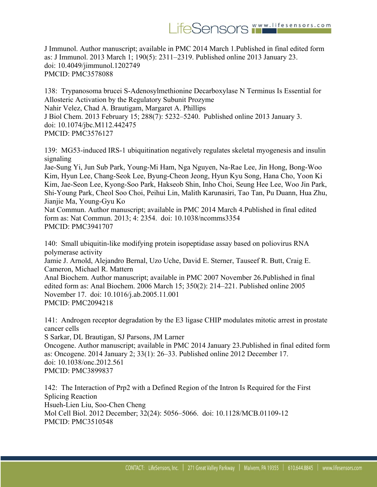J Immunol. Author manuscript; available in PMC 2014 March 1.Published in final edited form as: J Immunol. 2013 March 1; 190(5): 2311–2319. Published online 2013 January 23. doi: 10.4049/jimmunol.1202749 PMCID: PMC3578088

138: Trypanosoma brucei S-Adenosylmethionine Decarboxylase N Terminus Is Essential for Allosteric Activation by the Regulatory Subunit Prozyme Nahir Velez, Chad A. Brautigam, Margaret A. Phillips J Biol Chem. 2013 February 15; 288(7): 5232–5240. Published online 2013 January 3. doi: 10.1074/jbc.M112.442475 PMCID: PMC3576127

139: MG53-induced IRS-1 ubiquitination negatively regulates skeletal myogenesis and insulin signaling

Jae-Sung Yi, Jun Sub Park, Young-Mi Ham, Nga Nguyen, Na-Rae Lee, Jin Hong, Bong-Woo Kim, Hyun Lee, Chang-Seok Lee, Byung-Cheon Jeong, Hyun Kyu Song, Hana Cho, Yoon Ki Kim, Jae-Seon Lee, Kyong-Soo Park, Hakseob Shin, Inho Choi, Seung Hee Lee, Woo Jin Park, Shi-Young Park, Cheol Soo Choi, Peihui Lin, Malith Karunasiri, Tao Tan, Pu Duann, Hua Zhu, Jianjie Ma, Young-Gyu Ko

Nat Commun. Author manuscript; available in PMC 2014 March 4.Published in final edited form as: Nat Commun. 2013; 4: 2354. doi: 10.1038/ncomms3354 PMCID: PMC3941707

140: Small ubiquitin-like modifying protein isopeptidase assay based on poliovirus RNA polymerase activity Jamie J. Arnold, Alejandro Bernal, Uzo Uche, David E. Sterner, Tauseef R. Butt, Craig E. Cameron, Michael R. Mattern Anal Biochem. Author manuscript; available in PMC 2007 November 26.Published in final edited form as: Anal Biochem. 2006 March 15; 350(2): 214–221. Published online 2005 November 17. doi: 10.1016/j.ab.2005.11.001 PMCID: PMC2094218

141: Androgen receptor degradation by the E3 ligase CHIP modulates mitotic arrest in prostate cancer cells

S Sarkar, DL Brautigan, SJ Parsons, JM Larner

Oncogene. Author manuscript; available in PMC 2014 January 23.Published in final edited form as: Oncogene. 2014 January 2; 33(1): 26–33. Published online 2012 December 17. doi: 10.1038/onc.2012.561 PMCID: PMC3899837

142: The Interaction of Prp2 with a Defined Region of the Intron Is Required for the First Splicing Reaction Hsueh-Lien Liu, Soo-Chen Cheng Mol Cell Biol. 2012 December; 32(24): 5056–5066. doi: 10.1128/MCB.01109-12 PMCID: PMC3510548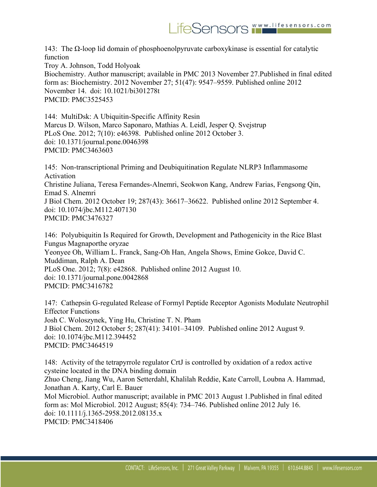143: The Ω-loop lid domain of phosphoenolpyruvate carboxykinase is essential for catalytic function

Troy A. Johnson, Todd Holyoak Biochemistry. Author manuscript; available in PMC 2013 November 27.Published in final edited form as: Biochemistry. 2012 November 27; 51(47): 9547–9559. Published online 2012 November 14. doi: 10.1021/bi301278t PMCID: PMC3525453

144: MultiDsk: A Ubiquitin-Specific Affinity Resin Marcus D. Wilson, Marco Saponaro, Mathias A. Leidl, Jesper Q. Svejstrup PLoS One. 2012; 7(10): e46398. Published online 2012 October 3. doi: 10.1371/journal.pone.0046398 PMCID: PMC3463603

145: Non-transcriptional Priming and Deubiquitination Regulate NLRP3 Inflammasome Activation Christine Juliana, Teresa Fernandes-Alnemri, Seokwon Kang, Andrew Farias, Fengsong Qin, Emad S. Alnemri J Biol Chem. 2012 October 19; 287(43): 36617–36622. Published online 2012 September 4. doi: 10.1074/jbc.M112.407130 PMCID: PMC3476327

146: Polyubiquitin Is Required for Growth, Development and Pathogenicity in the Rice Blast Fungus Magnaporthe oryzae Yeonyee Oh, William L. Franck, Sang-Oh Han, Angela Shows, Emine Gokce, David C. Muddiman, Ralph A. Dean PLoS One. 2012; 7(8): e42868. Published online 2012 August 10. doi: 10.1371/journal.pone.0042868 PMCID: PMC3416782

147: Cathepsin G-regulated Release of Formyl Peptide Receptor Agonists Modulate Neutrophil Effector Functions Josh C. Woloszynek, Ying Hu, Christine T. N. Pham J Biol Chem. 2012 October 5; 287(41): 34101–34109. Published online 2012 August 9. doi: 10.1074/jbc.M112.394452 PMCID: PMC3464519

148: Activity of the tetrapyrrole regulator CrtJ is controlled by oxidation of a redox active cysteine located in the DNA binding domain Zhuo Cheng, Jiang Wu, Aaron Setterdahl, Khalilah Reddie, Kate Carroll, Loubna A. Hammad, Jonathan A. Karty, Carl E. Bauer Mol Microbiol. Author manuscript; available in PMC 2013 August 1.Published in final edited form as: Mol Microbiol. 2012 August; 85(4): 734–746. Published online 2012 July 16. doi: 10.1111/j.1365-2958.2012.08135.x PMCID: PMC3418406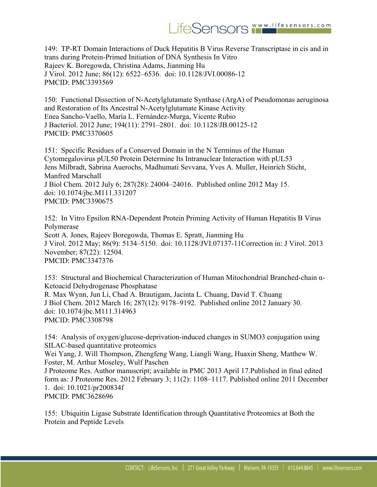## LifeSensors WWW.lifesensors.com

149: TP-RT Domain Interactions of Duck Hepatitis B Virus Reverse Transcriptase in cis and in trans during Protein-Primed Initiation of DNA Synthesis In Vitro Rajeev K. Boregowda, Christina Adams, Jianming Hu J Virol. 2012 June; 86(12): 6522–6536. doi: 10.1128/JVI.00086-12 PMCID: PMC3393569

150: Functional Dissection of N-Acetylglutamate Synthase (ArgA) of Pseudomonas aeruginosa and Restoration of Its Ancestral N-Acetylglutamate Kinase Activity Enea Sancho-Vaello, María L. Fernández-Murga, Vicente Rubio J Bacteriol. 2012 June; 194(11): 2791–2801. doi: 10.1128/JB.00125-12 PMCID: PMC3370605

151: Specific Residues of a Conserved Domain in the N Terminus of the Human Cytomegalovirus pUL50 Protein Determine Its Intranuclear Interaction with pUL53 Jens Milbradt, Sabrina Auerochs, Madhumati Sevvana, Yves A. Muller, Heinrich Sticht, Manfred Marschall J Biol Chem. 2012 July 6; 287(28): 24004–24016. Published online 2012 May 15. doi: 10.1074/jbc.M111.331207 PMCID: PMC3390675

152: In Vitro Epsilon RNA-Dependent Protein Priming Activity of Human Hepatitis B Virus Polymerase Scott A. Jones, Rajeev Boregowda, Thomas E. Spratt, Jianming Hu J Virol. 2012 May; 86(9): 5134–5150. doi: 10.1128/JVI.07137-11Correction in: J Virol. 2013 November; 87(22): 12504. PMCID: PMC3347376

153: Structural and Biochemical Characterization of Human Mitochondrial Branched-chain α-Ketoacid Dehydrogenase Phosphatase R. Max Wynn, Jun Li, Chad A. Brautigam, Jacinta L. Chuang, David T. Chuang J Biol Chem. 2012 March 16; 287(12): 9178–9192. Published online 2012 January 30. doi: 10.1074/jbc.M111.314963 PMCID: PMC3308798

154: Analysis of oxygen/glucose-deprivation-induced changes in SUMO3 conjugation using SILAC-based quantitative proteomics Wei Yang, J. Will Thompson, Zhengfeng Wang, Liangli Wang, Huaxin Sheng, Matthew W. Foster, M. Arthur Moseley, Wulf Paschen J Proteome Res. Author manuscript; available in PMC 2013 April 17.Published in final edited form as: J Proteome Res. 2012 February 3; 11(2): 1108–1117. Published online 2011 December 1. doi: 10.1021/pr200834f PMCID: PMC3628696

155: Ubiquitin Ligase Substrate Identification through Quantitative Proteomics at Both the Protein and Peptide Levels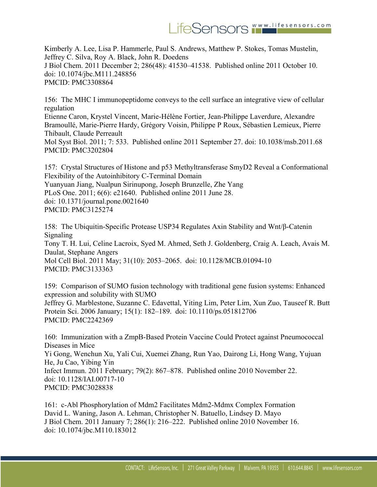Kimberly A. Lee, Lisa P. Hammerle, Paul S. Andrews, Matthew P. Stokes, Tomas Mustelin, Jeffrey C. Silva, Roy A. Black, John R. Doedens J Biol Chem. 2011 December 2; 286(48): 41530–41538. Published online 2011 October 10. doi: 10.1074/jbc.M111.248856 PMCID: PMC3308864

156: The MHC I immunopeptidome conveys to the cell surface an integrative view of cellular regulation Etienne Caron, Krystel Vincent, Marie-Hélène Fortier, Jean-Philippe Laverdure, Alexandre Bramoullé, Marie-Pierre Hardy, Grégory Voisin, Philippe P Roux, Sébastien Lemieux, Pierre Thibault, Claude Perreault

Mol Syst Biol. 2011; 7: 533. Published online 2011 September 27. doi: 10.1038/msb.2011.68 PMCID: PMC3202804

157: Crystal Structures of Histone and p53 Methyltransferase SmyD2 Reveal a Conformational Flexibility of the Autoinhibitory C-Terminal Domain Yuanyuan Jiang, Nualpun Sirinupong, Joseph Brunzelle, Zhe Yang PLoS One. 2011; 6(6): e21640. Published online 2011 June 28. doi: 10.1371/journal.pone.0021640 PMCID: PMC3125274

158: The Ubiquitin-Specific Protease USP34 Regulates Axin Stability and Wnt/β-Catenin Signaling Tony T. H. Lui, Celine Lacroix, Syed M. Ahmed, Seth J. Goldenberg, Craig A. Leach, Avais M. Daulat, Stephane Angers Mol Cell Biol. 2011 May; 31(10): 2053–2065. doi: 10.1128/MCB.01094-10 PMCID: PMC3133363

159: Comparison of SUMO fusion technology with traditional gene fusion systems: Enhanced expression and solubility with SUMO Jeffrey G. Marblestone, Suzanne C. Edavettal, Yiting Lim, Peter Lim, Xun Zuo, Tauseef R. Butt Protein Sci. 2006 January; 15(1): 182–189. doi: 10.1110/ps.051812706 PMCID: PMC2242369

160: Immunization with a ZmpB-Based Protein Vaccine Could Protect against Pneumococcal Diseases in Mice Yi Gong, Wenchun Xu, Yali Cui, Xuemei Zhang, Run Yao, Dairong Li, Hong Wang, Yujuan He, Ju Cao, Yibing Yin Infect Immun. 2011 February; 79(2): 867–878. Published online 2010 November 22. doi: 10.1128/IAI.00717-10 PMCID: PMC3028838

161: c-Abl Phosphorylation of Mdm2 Facilitates Mdm2-Mdmx Complex Formation David L. Waning, Jason A. Lehman, Christopher N. Batuello, Lindsey D. Mayo J Biol Chem. 2011 January 7; 286(1): 216–222. Published online 2010 November 16. doi: 10.1074/jbc.M110.183012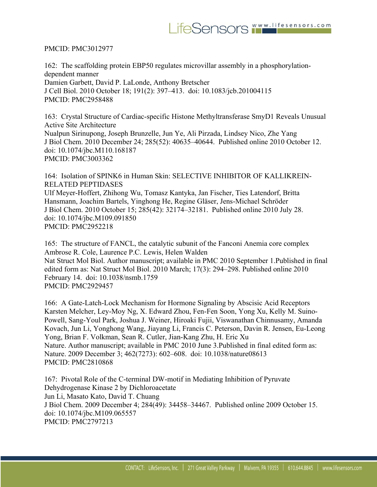## PMCID: PMC3012977

162: The scaffolding protein EBP50 regulates microvillar assembly in a phosphorylationdependent manner Damien Garbett, David P. LaLonde, Anthony Bretscher J Cell Biol. 2010 October 18; 191(2): 397–413. doi: 10.1083/jcb.201004115 PMCID: PMC2958488

163: Crystal Structure of Cardiac-specific Histone Methyltransferase SmyD1 Reveals Unusual Active Site Architecture Nualpun Sirinupong, Joseph Brunzelle, Jun Ye, Ali Pirzada, Lindsey Nico, Zhe Yang J Biol Chem. 2010 December 24; 285(52): 40635–40644. Published online 2010 October 12. doi: 10.1074/jbc.M110.168187 PMCID: PMC3003362

164: Isolation of SPINK6 in Human Skin: SELECTIVE INHIBITOR OF KALLIKREIN-RELATED PEPTIDASES Ulf Meyer-Hoffert, Zhihong Wu, Tomasz Kantyka, Jan Fischer, Ties Latendorf, Britta Hansmann, Joachim Bartels, Yinghong He, Regine Gläser, Jens-Michael Schröder J Biol Chem. 2010 October 15; 285(42): 32174–32181. Published online 2010 July 28. doi: 10.1074/jbc.M109.091850 PMCID: PMC2952218

165: The structure of FANCL, the catalytic subunit of the Fanconi Anemia core complex Ambrose R. Cole, Laurence P.C. Lewis, Helen Walden Nat Struct Mol Biol. Author manuscript; available in PMC 2010 September 1.Published in final edited form as: Nat Struct Mol Biol. 2010 March; 17(3): 294–298. Published online 2010 February 14. doi: 10.1038/nsmb.1759 PMCID: PMC2929457

166: A Gate-Latch-Lock Mechanism for Hormone Signaling by Abscisic Acid Receptors Karsten Melcher, Ley-Moy Ng, X. Edward Zhou, Fen-Fen Soon, Yong Xu, Kelly M. Suino-Powell, Sang-Youl Park, Joshua J. Weiner, Hiroaki Fujii, Viswanathan Chinnusamy, Amanda Kovach, Jun Li, Yonghong Wang, Jiayang Li, Francis C. Peterson, Davin R. Jensen, Eu-Leong Yong, Brian F. Volkman, Sean R. Cutler, Jian-Kang Zhu, H. Eric Xu Nature. Author manuscript; available in PMC 2010 June 3.Published in final edited form as: Nature. 2009 December 3; 462(7273): 602–608. doi: 10.1038/nature08613 PMCID: PMC2810868

167: Pivotal Role of the C-terminal DW-motif in Mediating Inhibition of Pyruvate Dehydrogenase Kinase 2 by Dichloroacetate Jun Li, Masato Kato, David T. Chuang J Biol Chem. 2009 December 4; 284(49): 34458–34467. Published online 2009 October 15. doi: 10.1074/jbc.M109.065557 PMCID: PMC2797213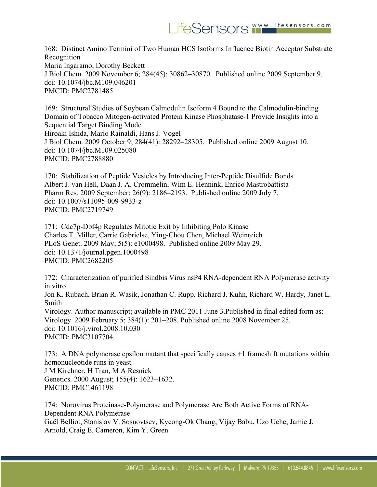168: Distinct Amino Termini of Two Human HCS Isoforms Influence Biotin Acceptor Substrate Recognition Maria Ingaramo, Dorothy Beckett J Biol Chem. 2009 November 6; 284(45): 30862–30870. Published online 2009 September 9. doi: 10.1074/jbc.M109.046201 PMCID: PMC2781485

169: Structural Studies of Soybean Calmodulin Isoform 4 Bound to the Calmodulin-binding Domain of Tobacco Mitogen-activated Protein Kinase Phosphatase-1 Provide Insights into a Sequential Target Binding Mode Hiroaki Ishida, Mario Rainaldi, Hans J. Vogel J Biol Chem. 2009 October 9; 284(41): 28292–28305. Published online 2009 August 10. doi: 10.1074/jbc.M109.025080 PMCID: PMC2788880

170: Stabilization of Peptide Vesicles by Introducing Inter-Peptide Disulfide Bonds Albert J. van Hell, Daan J. A. Crommelin, Wim E. Hennink, Enrico Mastrobattista Pharm Res. 2009 September; 26(9): 2186–2193. Published online 2009 July 7. doi: 10.1007/s11095-009-9933-z PMCID: PMC2719749

171: Cdc7p-Dbf4p Regulates Mitotic Exit by Inhibiting Polo Kinase Charles T. Miller, Carrie Gabrielse, Ying-Chou Chen, Michael Weinreich PLoS Genet. 2009 May; 5(5): e1000498. Published online 2009 May 29. doi: 10.1371/journal.pgen.1000498 PMCID: PMC2682205

172: Characterization of purified Sindbis Virus nsP4 RNA-dependent RNA Polymerase activity in vitro

Jon K. Rubach, Brian R. Wasik, Jonathan C. Rupp, Richard J. Kuhn, Richard W. Hardy, Janet L. Smith

Virology. Author manuscript; available in PMC 2011 June 3.Published in final edited form as: Virology. 2009 February 5; 384(1): 201–208. Published online 2008 November 25. doi: 10.1016/j.virol.2008.10.030 PMCID: PMC3107704

173: A DNA polymerase epsilon mutant that specifically causes +1 frameshift mutations within homonucleotide runs in yeast. J M Kirchner, H Tran, M A Resnick Genetics. 2000 August; 155(4): 1623–1632. PMCID: PMC1461198

174: Norovirus Proteinase-Polymerase and Polymerase Are Both Active Forms of RNA-Dependent RNA Polymerase Gaël Belliot, Stanislav V. Sosnovtsev, Kyeong-Ok Chang, Vijay Babu, Uzo Uche, Jamie J. Arnold, Craig E. Cameron, Kim Y. Green